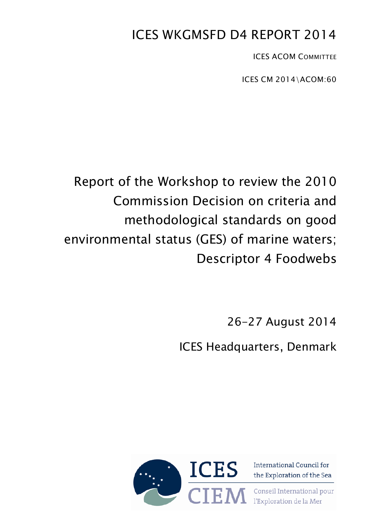# ICES WKGMSFD D4 REPORT 2014

ICES ACOM COMMITTEE

ICES CM 2014\ACOM:60

# Report of the Workshop to review the 2010 Commission Decision on criteria and methodological standards on good environmental status (GES) of marine waters; Descriptor 4 Foodwebs

26-27 August 2014

ICES Headquarters, Denmark



the Exploration of the Sea Conseil International pour

l'Exploration de la Mer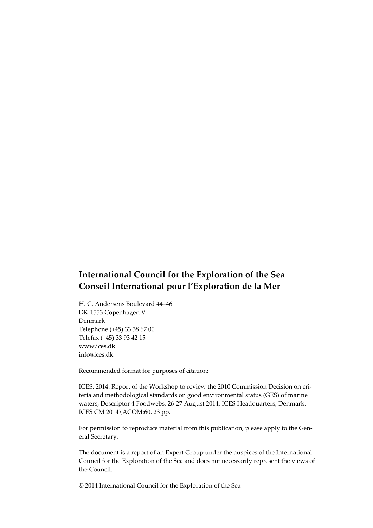## **International Council for the Exploration of the Sea Conseil International pour l'Exploration de la Mer**

H. C. Andersens Boulevard 44–46 DK-1553 Copenhagen V Denmark Telephone (+45) 33 38 67 00 Telefax (+45) 33 93 42 15 www.ices.dk info@ices.dk

Recommended format for purposes of citation:

ICES. 2014. Report of the Workshop to review the 2010 Commission Decision on criteria and methodological standards on good environmental status (GES) of marine waters; Descriptor 4 Foodwebs, 26-27 August 2014, ICES Headquarters, Denmark. ICES CM 2014\ACOM:60. 23 pp.

For permission to reproduce material from this publication, please apply to the General Secretary.

The document is a report of an Expert Group under the auspices of the International Council for the Exploration of the Sea and does not necessarily represent the views of the Council.

© 2014 International Council for the Exploration of the Sea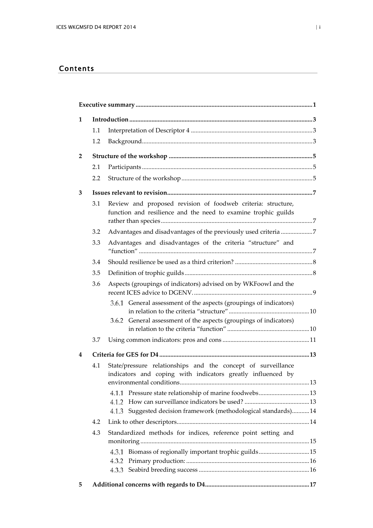## Contents

| 1              |                                                                                                                                    |                                                                                                                                |  |  |  |  |
|----------------|------------------------------------------------------------------------------------------------------------------------------------|--------------------------------------------------------------------------------------------------------------------------------|--|--|--|--|
|                | 1.1                                                                                                                                |                                                                                                                                |  |  |  |  |
|                | 1.2                                                                                                                                |                                                                                                                                |  |  |  |  |
| $\overline{2}$ |                                                                                                                                    |                                                                                                                                |  |  |  |  |
|                | 2.1                                                                                                                                |                                                                                                                                |  |  |  |  |
|                | 2.2                                                                                                                                |                                                                                                                                |  |  |  |  |
| 3              |                                                                                                                                    |                                                                                                                                |  |  |  |  |
|                | 3.1                                                                                                                                | Review and proposed revision of foodweb criteria: structure,<br>function and resilience and the need to examine trophic guilds |  |  |  |  |
|                | 3.2                                                                                                                                | Advantages and disadvantages of the previously used criteria 7                                                                 |  |  |  |  |
|                | 3.3                                                                                                                                | Advantages and disadvantages of the criteria "structure" and                                                                   |  |  |  |  |
|                | 3.4                                                                                                                                |                                                                                                                                |  |  |  |  |
|                | 3.5                                                                                                                                |                                                                                                                                |  |  |  |  |
|                | 3.6                                                                                                                                | Aspects (groupings of indicators) advised on by WKFoowI and the                                                                |  |  |  |  |
|                |                                                                                                                                    | 3.6.1 General assessment of the aspects (groupings of indicators)                                                              |  |  |  |  |
|                |                                                                                                                                    | 3.6.2 General assessment of the aspects (groupings of indicators)                                                              |  |  |  |  |
|                | 3.7                                                                                                                                |                                                                                                                                |  |  |  |  |
| 4              |                                                                                                                                    |                                                                                                                                |  |  |  |  |
|                | State/pressure relationships and the concept of surveillance<br>4.1<br>indicators and coping with indicators greatly influenced by |                                                                                                                                |  |  |  |  |
|                |                                                                                                                                    | Pressure state relationship of marine foodwebs13<br>4.1.1                                                                      |  |  |  |  |
|                |                                                                                                                                    | 4.1.2                                                                                                                          |  |  |  |  |
|                |                                                                                                                                    | Suggested decision framework (methodological standards) 14<br>4.1.3                                                            |  |  |  |  |
|                | 4.2                                                                                                                                |                                                                                                                                |  |  |  |  |
|                | 4.3                                                                                                                                | Standardized methods for indices, reference point setting and                                                                  |  |  |  |  |
|                |                                                                                                                                    | Biomass of regionally important trophic guilds15<br>4.3.1                                                                      |  |  |  |  |
|                |                                                                                                                                    | 4.3.2                                                                                                                          |  |  |  |  |
|                |                                                                                                                                    |                                                                                                                                |  |  |  |  |
| 5              |                                                                                                                                    |                                                                                                                                |  |  |  |  |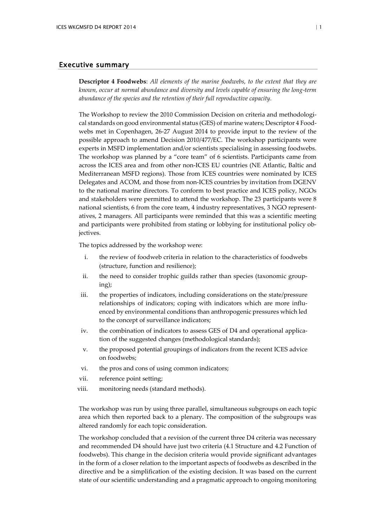#### <span id="page-4-0"></span>Executive summary

**Descriptor 4 Foodwebs**: *All elements of the marine foodwebs, to the extent that they are known, occur at normal abundance and diversity and levels capable of ensuring the long*‐*term abundance of the species and the retention of their full reproductive capacity.*

The Workshop to review the 2010 Commission Decision on criteria and methodological standards on good environmental status (GES) of marine waters; Descriptor 4 Foodwebs met in Copenhagen, 26-27 August 2014 to provide input to the review of the possible approach to amend Decision 2010/477/EC. The workshop participants were experts in MSFD implementation and/or scientists specialising in assessing foodwebs. The workshop was planned by a "core team" of 6 scientists. Participants came from across the ICES area and from other non-ICES EU countries (NE Atlantic, Baltic and Mediterranean MSFD regions). Those from ICES countries were nominated by ICES Delegates and ACOM, and those from non-ICES countries by invitation from DGENV to the national marine directors. To conform to best practice and ICES policy, NGOs and stakeholders were permitted to attend the workshop. The 23 participants were 8 national scientists, 6 from the core team, 4 industry representatives, 3 NGO representatives, 2 managers. All participants were reminded that this was a scientific meeting and participants were prohibited from stating or lobbying for institutional policy objectives.

The topics addressed by the workshop were:

- i. the review of foodweb criteria in relation to the characteristics of foodwebs (structure, function and resilience);
- ii. the need to consider trophic guilds rather than species (taxonomic grouping);
- iii. the properties of indicators, including considerations on the state/pressure relationships of indicators; coping with indicators which are more influenced by environmental conditions than anthropogenic pressures which led to the concept of surveillance indicators;
- iv. the combination of indicators to assess GES of D4 and operational application of the suggested changes (methodological standards);
- v. the proposed potential groupings of indicators from the recent ICES advice on foodwebs;
- vi. the pros and cons of using common indicators;
- vii. reference point setting;
- viii. monitoring needs (standard methods).

The workshop was run by using three parallel, simultaneous subgroups on each topic area which then reported back to a plenary. The composition of the subgroups was altered randomly for each topic consideration.

The workshop concluded that a revision of the current three D4 criteria was necessary and recommended D4 should have just two criteria (4.1 Structure and 4.2 Function of foodwebs). This change in the decision criteria would provide significant advantages in the form of a closer relation to the important aspects of foodwebs as described in the directive and be a simplification of the existing decision. It was based on the current state of our scientific understanding and a pragmatic approach to ongoing monitoring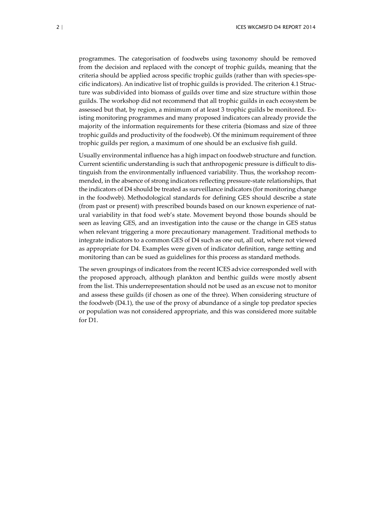programmes. The categorisation of foodwebs using taxonomy should be removed from the decision and replaced with the concept of trophic guilds, meaning that the criteria should be applied across specific trophic guilds (rather than with species-specific indicators). An indicative list of trophic guilds is provided. The criterion 4.1 Structure was subdivided into biomass of guilds over time and size structure within those guilds. The workshop did not recommend that all trophic guilds in each ecosystem be assessed but that, by region, a minimum of at least 3 trophic guilds be monitored. Existing monitoring programmes and many proposed indicators can already provide the majority of the information requirements for these criteria (biomass and size of three trophic guilds and productivity of the foodweb). Of the minimum requirement of three trophic guilds per region, a maximum of one should be an exclusive fish guild.

Usually environmental influence has a high impact on foodweb structure and function. Current scientific understanding is such that anthropogenic pressure is difficult to distinguish from the environmentally influenced variability. Thus, the workshop recommended, in the absence of strong indicators reflecting pressure-state relationships, that the indicators of D4 should be treated as surveillance indicators (for monitoring change in the foodweb). Methodological standards for defining GES should describe a state (from past or present) with prescribed bounds based on our known experience of natural variability in that food web's state. Movement beyond those bounds should be seen as leaving GES, and an investigation into the cause or the change in GES status when relevant triggering a more precautionary management. Traditional methods to integrate indicators to a common GES of D4 such as one out, all out, where not viewed as appropriate for D4. Examples were given of indicator definition, range setting and monitoring than can be sued as guidelines for this process as standard methods.

The seven groupings of indicators from the recent ICES advice corresponded well with the proposed approach, although plankton and benthic guilds were mostly absent from the list. This underrepresentation should not be used as an excuse not to monitor and assess these guilds (if chosen as one of the three). When considering structure of the foodweb (D4.1), the use of the proxy of abundance of a single top predator species or population was not considered appropriate, and this was considered more suitable for D1.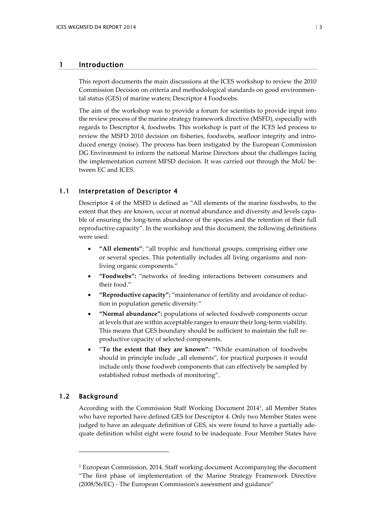#### <span id="page-6-0"></span>1 Introduction

This report documents the main discussions at the ICES workshop to review the 2010 Commission Decision on criteria and methodological standards on good environmental status (GES) of marine waters; Descriptor 4 Foodwebs.

The aim of the workshop was to provide a forum for scientists to provide input into the review process of the marine strategy framework directive (MSFD), especially with regards to Descriptor 4, foodwebs. This workshop is part of the ICES led process to review the MSFD 2010 decision on fisheries, foodwebs, seafloor integrity and introduced energy (noise). The process has been instigated by the European Commission DG Environment to inform the national Marine Directors about the challenges facing the implementation current MFSD decision. It was carried out through the MoU between EC and ICES.

#### <span id="page-6-1"></span>1.1 Interpretation of Descriptor 4

Descriptor 4 of the MSFD is defined as "All elements of the marine foodwebs, to the extent that they are known, occur at normal abundance and diversity and levels capable of ensuring the long-term abundance of the species and the retention of their full reproductive capacity". In the workshop and this document, the following definitions were used:

- **"All elements"**: "all trophic and functional groups, comprising either one or several species. This potentially includes all living organisms and nonliving organic components."
- **"Foodwebs":** "networks of feeding interactions between consumers and their food."
- **"Reproductive capacity":** "maintenance of fertility and avoidance of reduction in population genetic diversity."
- **"Normal abundance":** populations of selected foodweb components occur at levels that are within acceptable ranges to ensure their long-term viability. This means that GES boundary should be sufficient to maintain the full reproductive capacity of selected components.
- "**To the extent that they are known"**: "While examination of foodwebs should in principle include  $\mu$ all elements", for practical purposes it would include only those foodweb components that can effectively be sampled by established robust methods of monitoring".

#### <span id="page-6-2"></span>1.2 Background

-

According with the Commission Staff Working Document 2014[1](#page-6-3) , all Member States who have reported have defined GES for Descriptor 4. Only two Member States were judged to have an adequate definition of GES, six were found to have a partially adequate definition whilst eight were found to be inadequate. Four Member States have

<span id="page-6-3"></span><sup>&</sup>lt;sup>1</sup> European Commission, 2014. Staff working document Accompanying the document "The first phase of implementation of the Marine Strategy Framework Directive (2008/56/EC) - The European Commission's assessment and guidance"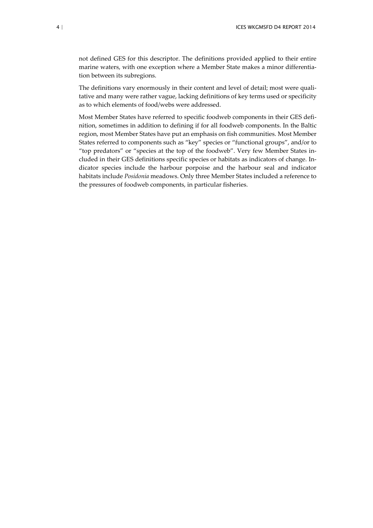not defined GES for this descriptor. The definitions provided applied to their entire marine waters, with one exception where a Member State makes a minor differentiation between its subregions.

The definitions vary enormously in their content and level of detail; most were qualitative and many were rather vague, lacking definitions of key terms used or specificity as to which elements of food/webs were addressed.

Most Member States have referred to specific foodweb components in their GES definition, sometimes in addition to defining if for all foodweb components. In the Baltic region, most Member States have put an emphasis on fish communities. Most Member States referred to components such as "key" species or "functional groups", and/or to "top predators" or "species at the top of the foodweb". Very few Member States included in their GES definitions specific species or habitats as indicators of change. Indicator species include the harbour porpoise and the harbour seal and indicator habitats include *Posidonia* meadows. Only three Member States included a reference to the pressures of foodweb components, in particular fisheries.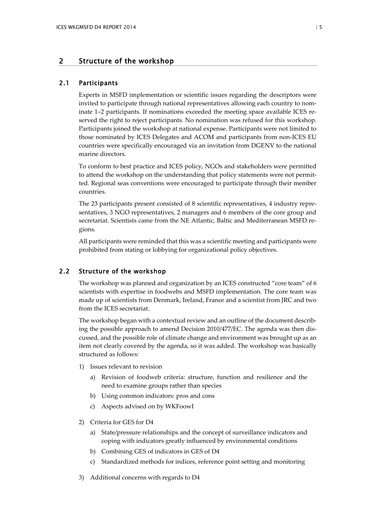#### <span id="page-8-0"></span>2 Structure of the workshop

#### 2.1 Participants

<span id="page-8-1"></span>Experts in MSFD implementation or scientific issues regarding the descriptors were invited to participate through national representatives allowing each country to nominate 1–2 participants. If nominations exceeded the meeting space available ICES reserved the right to reject participants. No nomination was refused for this workshop. Participants joined the workshop at national expense. Participants were not limited to those nominated by ICES Delegates and ACOM and participants from non-ICES EU countries were specifically encouraged via an invitation from DGENV to the national marine directors.

To conform to best practice and ICES policy, NGOs and stakeholders were permitted to attend the workshop on the understanding that policy statements were not permitted. Regional seas conventions were encouraged to participate through their member countries.

The 23 participants present consisted of 8 scientific representatives, 4 industry representatives, 3 NGO representatives, 2 managers and 6 members of the core group and secretariat. Scientists came from the NE Atlantic, Baltic and Mediterranean MSFD regions.

<span id="page-8-2"></span>All participants were reminded that this was a scientific meeting and participants were prohibited from stating or lobbying for organizational policy objectives.

#### 2.2 Structure of the workshop

The workshop was planned and organization by an ICES constructed "core team" of 6 scientists with expertise in foodwebs and MSFD implementation. The core team was made up of scientists from Denmark, Ireland, France and a scientist from JRC and two from the ICES secretariat.

The workshop began with a contextual review and an outline of the document describing the possible approach to amend Decision 2010/477/EC. The agenda was then discussed, and the possible role of climate change and environment was brought up as an item not clearly covered by the agenda, so it was added. The workshop was basically structured as follows:

- 1) Issues relevant to revision
	- a) Revision of foodweb criteria: structure, function and resilience and the need to examine groups rather than species
	- b) Using common indicators: pros and cons
	- c) Aspects advised on by WKFoowI
- 2) Criteria for GES for D4
	- a) State/pressure relationships and the concept of surveillance indicators and coping with indicators greatly influenced by environmental conditions
	- b) Combining GES of indicators in GES of D4
	- c) Standardized methods for indices, reference point setting and monitoring
- 3) Additional concerns with regards to D4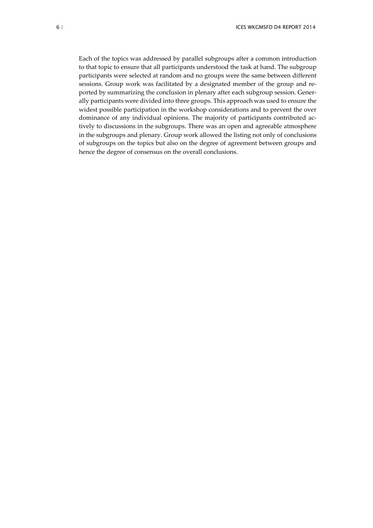Each of the topics was addressed by parallel subgroups after a common introduction to that topic to ensure that all participants understood the task at hand. The subgroup participants were selected at random and no groups were the same between different sessions. Group work was facilitated by a designated member of the group and reported by summarizing the conclusion in plenary after each subgroup session. Generally participants were divided into three groups. This approach was used to ensure the widest possible participation in the workshop considerations and to prevent the over dominance of any individual opinions. The majority of participants contributed actively to discussions in the subgroups. There was an open and agreeable atmosphere in the subgroups and plenary. Group work allowed the listing not only of conclusions of subgroups on the topics but also on the degree of agreement between groups and hence the degree of consensus on the overall conclusions.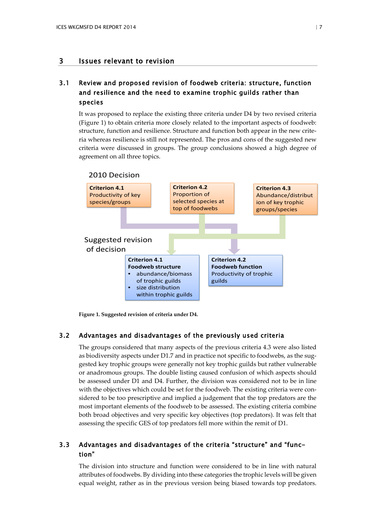## <span id="page-10-0"></span>3 Issues relevant to revision

## <span id="page-10-1"></span>3.1 Review and proposed revision of foodweb criteria: structure, function and resilience and the need to examine trophic guilds rather than species

It was proposed to replace the existing three criteria under D4 by two revised criteria (Figure 1) to obtain criteria more closely related to the important aspects of foodweb: structure, function and resilience. Structure and function both appear in the new criteria whereas resilience is still not represented. The pros and cons of the suggested new criteria were discussed in groups. The group conclusions showed a high degree of agreement on all three topics.



<span id="page-10-2"></span>**Figure 1. Suggested revision of criteria under D4.**

#### 3.2 Advantages and disadvantages of the previously used criteria

The groups considered that many aspects of the previous criteria 4.3 were also listed as biodiversity aspects under D1.7 and in practice not specific to foodwebs, as the suggested key trophic groups were generally not key trophic guilds but rather vulnerable or anadromous groups. The double listing caused confusion of which aspects should be assessed under D1 and D4. Further, the division was considered not to be in line with the objectives which could be set for the foodweb. The existing criteria were considered to be too prescriptive and implied a judgement that the top predators are the most important elements of the foodweb to be assessed. The existing criteria combine both broad objectives and very specific key objectives (top predators). It was felt that assessing the specific GES of top predators fell more within the remit of D1.

#### <span id="page-10-3"></span>3.3 Advantages and disadvantages of the criteria "structure" and "function"

The division into structure and function were considered to be in line with natural attributes of foodwebs. By dividing into these categories the trophic levels will be given equal weight, rather as in the previous version being biased towards top predators.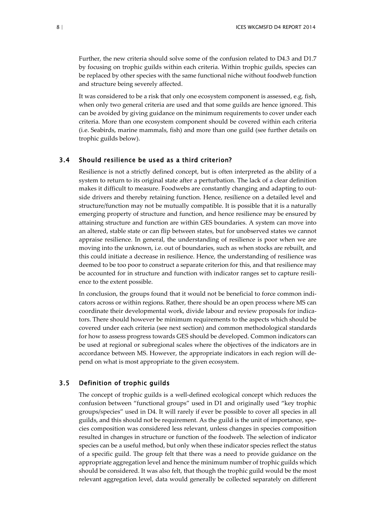Further, the new criteria should solve some of the confusion related to D4.3 and D1.7 by focusing on trophic guilds within each criteria. Within trophic guilds, species can be replaced by other species with the same functional niche without foodweb function and structure being severely affected.

It was considered to be a risk that only one ecosystem component is assessed, e.g. fish, when only two general criteria are used and that some guilds are hence ignored. This can be avoided by giving guidance on the minimum requirements to cover under each criteria. More than one ecosystem component should be covered within each criteria (i.e. Seabirds, marine mammals, fish) and more than one guild (see further details on trophic guilds below).

#### <span id="page-11-0"></span>3.4 Should resilience be used as a third criterion?

Resilience is not a strictly defined concept, but is often interpreted as the ability of a system to return to its original state after a perturbation. The lack of a clear definition makes it difficult to measure. Foodwebs are constantly changing and adapting to outside drivers and thereby retaining function. Hence, resilience on a detailed level and structure/function may not be mutually compatible. It is possible that it is a naturally emerging property of structure and function, and hence resilience may be ensured by attaining structure and function are within GES boundaries. A system can move into an altered, stable state or can flip between states, but for unobserved states we cannot appraise resilience. In general, the understanding of resilience is poor when we are moving into the unknown, i.e. out of boundaries, such as when stocks are rebuilt, and this could initiate a decrease in resilience. Hence, the understanding of resilience was deemed to be too poor to construct a separate criterion for this, and that resilience may be accounted for in structure and function with indicator ranges set to capture resilience to the extent possible.

In conclusion, the groups found that it would not be beneficial to force common indicators across or within regions. Rather, there should be an open process where MS can coordinate their developmental work, divide labour and review proposals for indicators. There should however be minimum requirements to the aspects which should be covered under each criteria (see next section) and common methodological standards for how to assess progress towards GES should be developed. Common indicators can be used at regional or subregional scales where the objectives of the indicators are in accordance between MS. However, the appropriate indicators in each region will depend on what is most appropriate to the given ecosystem.

#### <span id="page-11-1"></span>3.5 Definition of trophic guilds

The concept of trophic guilds is a well-defined ecological concept which reduces the confusion between "functional groups" used in D1 and originally used "key trophic groups/species" used in D4. It will rarely if ever be possible to cover all species in all guilds, and this should not be requirement. As the guild is the unit of importance, species composition was considered less relevant, unless changes in species composition resulted in changes in structure or function of the foodweb. The selection of indicator species can be a useful method, but only when these indicator species reflect the status of a specific guild. The group felt that there was a need to provide guidance on the appropriate aggregation level and hence the minimum number of trophic guilds which should be considered. It was also felt, that though the trophic guild would be the most relevant aggregation level, data would generally be collected separately on different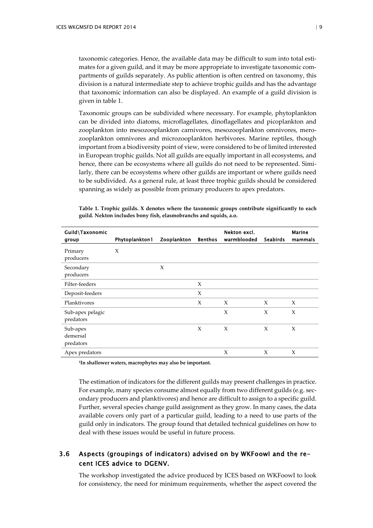taxonomic categories. Hence, the available data may be difficult to sum into total estimates for a given guild, and it may be more appropriate to investigate taxonomic compartments of guilds separately. As public attention is often centred on taxonomy, this division is a natural intermediate step to achieve trophic guilds and has the advantage that taxonomic information can also be displayed. An example of a guild division is given in table 1.

Taxonomic groups can be subdivided where necessary. For example, phytoplankton can be divided into diatoms, microflagellates, dinoflagellates and picoplankton and zooplankton into mesozooplankton carnivores, mesozooplankton omnivores, merozooplankton omnivores and microzooplankton herbivores. Marine reptiles, though important from a biodiversity point of view, were considered to be of limited interested in European trophic guilds. Not all guilds are equally important in all ecosystems, and hence, there can be ecosystems where all guilds do not need to be represented. Similarly, there can be ecosystems where other guilds are important or where guilds need to be subdivided. As a general rule, at least three trophic guilds should be considered spanning as widely as possible from primary producers to apex predators.

| Guild\Taxonomic<br>group          | Phytoplankton1 | Zooplankton | Benthos | Nekton excl.<br>warmblooded | <b>Seabirds</b> | <b>Marine</b><br>mammals |
|-----------------------------------|----------------|-------------|---------|-----------------------------|-----------------|--------------------------|
| Primary<br>producers              | X              |             |         |                             |                 |                          |
| Secondary<br>producers            |                | $\chi$      |         |                             |                 |                          |
| Filter-feeders                    |                |             | X       |                             |                 |                          |
| Deposit-feeders                   |                |             | X       |                             |                 |                          |
| Planktivores                      |                |             | X       | $\chi$                      | X               | $\chi$                   |
| Sub-apex pelagic<br>predators     |                |             |         | $\chi$                      | X               | X                        |
| Sub-apex<br>demersal<br>predators |                |             | X       | $\chi$                      | X               | X                        |
| Apex predators                    |                |             |         | X                           | X               | X                        |

**Table 1. Trophic guilds. X denotes where the taxonomic groups contribute significantly to each guild. Nekton includes bony fish, elasmobranchs and squids, a.o.**

**1In shallower waters, macrophytes may also be important.**

The estimation of indicators for the different guilds may present challenges in practice. For example, many species consume almost equally from two different guilds (e.g. secondary producers and planktivores) and hence are difficult to assign to a specific guild. Further, several species change guild assignment as they grow. In many cases, the data available covers only part of a particular guild, leading to a need to use parts of the guild only in indicators. The group found that detailed technical guidelines on how to deal with these issues would be useful in future process.

#### <span id="page-12-0"></span>3.6 Aspects (groupings of indicators) advised on by WKFoowI and the recent ICES advice to DGENV.

The workshop investigated the advice produced by ICES based on WKFoowI to look for consistency, the need for minimum requirements, whether the aspect covered the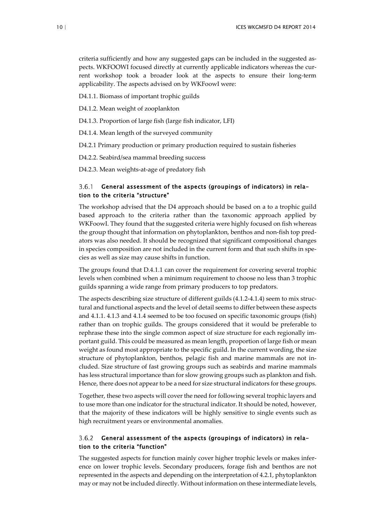criteria sufficiently and how any suggested gaps can be included in the suggested aspects. WKFOOWI focused directly at currently applicable indicators whereas the current workshop took a broader look at the aspects to ensure their long-term applicability. The aspects advised on by WKFoowI were:

D4.1.1. Biomass of important trophic guilds

D4.1.2. Mean weight of zooplankton

D4.1.3. Proportion of large fish (large fish indicator, LFI)

D4.1.4. Mean length of the surveyed community

D4.2.1 Primary production or primary production required to sustain fisheries

D4.2.2. Seabird/sea mammal breeding success

D4.2.3. Mean weights-at-age of predatory fish

#### <span id="page-13-0"></span>General assessment of the aspects (groupings of indicators) in rela- $3.6.1$ tion to the criteria "structure"

The workshop advised that the D4 approach should be based on a to a trophic guild based approach to the criteria rather than the taxonomic approach applied by WKFoowI. They found that the suggested criteria were highly focused on fish whereas the group thought that information on phytoplankton, benthos and non-fish top predators was also needed. It should be recognized that significant compositional changes in species composition are not included in the current form and that such shifts in species as well as size may cause shifts in function.

The groups found that D.4.1.1 can cover the requirement for covering several trophic levels when combined when a minimum requirement to choose no less than 3 trophic guilds spanning a wide range from primary producers to top predators.

The aspects describing size structure of different guilds (4.1.2-4.1.4) seem to mix structural and functional aspects and the level of detail seems to differ between these aspects and 4.1.1. 4.1.3 and 4.1.4 seemed to be too focused on specific taxonomic groups (fish) rather than on trophic guilds. The groups considered that it would be preferable to rephrase these into the single common aspect of size structure for each regionally important guild. This could be measured as mean length, proportion of large fish or mean weight as found most appropriate to the specific guild. In the current wording, the size structure of phytoplankton, benthos, pelagic fish and marine mammals are not included. Size structure of fast growing groups such as seabirds and marine mammals has less structural importance than for slow growing groups such as plankton and fish. Hence, there does not appear to be a need for size structural indicators for these groups.

Together, these two aspects will cover the need for following several trophic layers and to use more than one indicator for the structural indicator. It should be noted, however, that the majority of these indicators will be highly sensitive to single events such as high recruitment years or environmental anomalies.

#### <span id="page-13-1"></span> $3.6.2$ General assessment of the aspects (groupings of indicators) in relation to the criteria "function"

The suggested aspects for function mainly cover higher trophic levels or makes inference on lower trophic levels. Secondary producers, forage fish and benthos are not represented in the aspects and depending on the interpretation of 4.2.1, phytoplankton may or may not be included directly. Without information on these intermediate levels,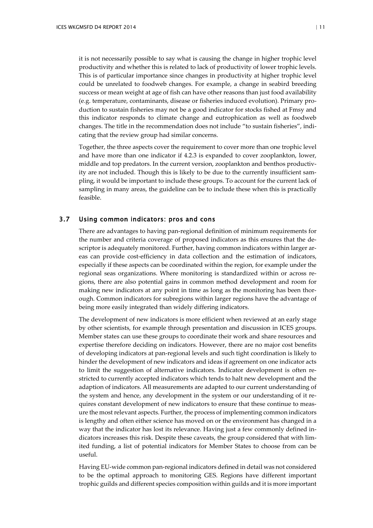it is not necessarily possible to say what is causing the change in higher trophic level productivity and whether this is related to lack of productivity of lower trophic levels. This is of particular importance since changes in productivity at higher trophic level could be unrelated to foodweb changes. For example, a change in seabird breeding success or mean weight at age of fish can have other reasons than just food availability (e.g. temperature, contaminants, disease or fisheries induced evolution). Primary production to sustain fisheries may not be a good indicator for stocks fished at Fmsy and this indicator responds to climate change and eutrophication as well as foodweb changes. The title in the recommendation does not include "to sustain fisheries", indicating that the review group had similar concerns.

Together, the three aspects cover the requirement to cover more than one trophic level and have more than one indicator if 4.2.3 is expanded to cover zooplankton, lower, middle and top predators. In the current version, zooplankton and benthos productivity are not included. Though this is likely to be due to the currently insufficient sampling, it would be important to include these groups. To account for the current lack of sampling in many areas, the guideline can be to include these when this is practically feasible.

#### <span id="page-14-0"></span>3.7 Using common indicators: pros and cons

There are advantages to having pan-regional definition of minimum requirements for the number and criteria coverage of proposed indicators as this ensures that the descriptor is adequately monitored. Further, having common indicators within larger areas can provide cost-efficiency in data collection and the estimation of indicators, especially if these aspects can be coordinated within the region, for example under the regional seas organizations. Where monitoring is standardized within or across regions, there are also potential gains in common method development and room for making new indicators at any point in time as long as the monitoring has been thorough. Common indicators for subregions within larger regions have the advantage of being more easily integrated than widely differing indicators.

The development of new indicators is more efficient when reviewed at an early stage by other scientists, for example through presentation and discussion in ICES groups. Member states can use these groups to coordinate their work and share resources and expertise therefore deciding on indicators. However, there are no major cost benefits of developing indicators at pan-regional levels and such tight coordination is likely to hinder the development of new indicators and ideas if agreement on one indicator acts to limit the suggestion of alternative indicators. Indicator development is often restricted to currently accepted indicators which tends to halt new development and the adaption of indicators. All measurements are adapted to our current understanding of the system and hence, any development in the system or our understanding of it requires constant development of new indicators to ensure that these continue to measure the most relevant aspects. Further, the process of implementing common indicators is lengthy and often either science has moved on or the environment has changed in a way that the indicator has lost its relevance. Having just a few commonly defined indicators increases this risk. Despite these caveats, the group considered that with limited funding, a list of potential indicators for Member States to choose from can be useful.

Having EU-wide common pan-regional indicators defined in detail was not considered to be the optimal approach to monitoring GES. Regions have different important trophic guilds and different species composition within guilds and it is more important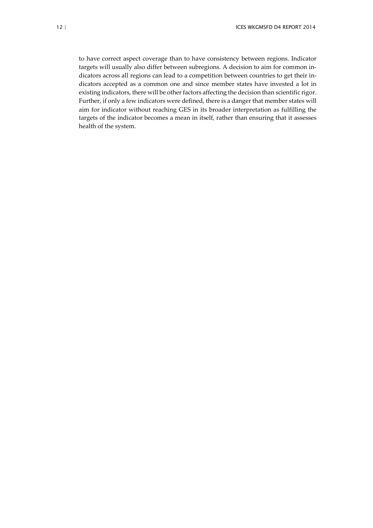to have correct aspect coverage than to have consistency between regions. Indicator targets will usually also differ between subregions. A decision to aim for common indicators across all regions can lead to a competition between countries to get their indicators accepted as a common one and since member states have invested a lot in existing indicators, there will be other factors affecting the decision than scientific rigor. Further, if only a few indicators were defined, there is a danger that member states will aim for indicator without reaching GES in its broader interpretation as fulfilling the targets of the indicator becomes a mean in itself, rather than ensuring that it assesses health of the system.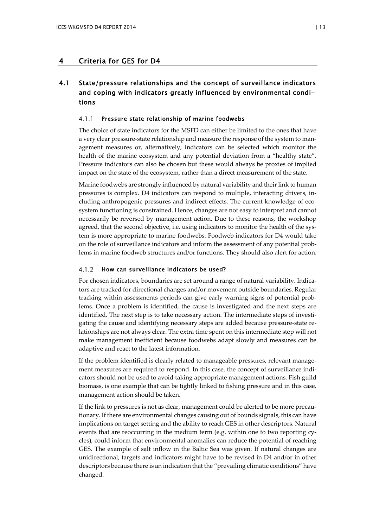## <span id="page-16-0"></span>4 Criteria for GES for D4

## <span id="page-16-1"></span>4.1 State/pressure relationships and the concept of surveillance indicators and coping with indicators greatly influenced by environmental conditions

#### <span id="page-16-2"></span> $4.1.1$ Pressure state relationship of marine foodwebs

The choice of state indicators for the MSFD can either be limited to the ones that have a very clear pressure-state relationship and measure the response of the system to management measures or, alternatively, indicators can be selected which monitor the health of the marine ecosystem and any potential deviation from a "healthy state". Pressure indicators can also be chosen but these would always be proxies of implied impact on the state of the ecosystem, rather than a direct measurement of the state.

Marine foodwebs are strongly influenced by natural variability and their link to human pressures is complex. D4 indicators can respond to multiple, interacting drivers, including anthropogenic pressures and indirect effects. The current knowledge of ecosystem functioning is constrained. Hence, changes are not easy to interpret and cannot necessarily be reversed by management action. Due to these reasons, the workshop agreed, that the second objective, i.e. using indicators to monitor the health of the system is more appropriate to marine foodwebs. Foodweb indicators for D4 would take on the role of surveillance indicators and inform the assessment of any potential problems in marine foodweb structures and/or functions. They should also alert for action.

#### <span id="page-16-3"></span>How can surveillance indicators be used?  $4.1.2$

For chosen indicators, boundaries are set around a range of natural variability. Indicators are tracked for directional changes and/or movement outside boundaries. Regular tracking within assessments periods can give early warning signs of potential problems. Once a problem is identified, the cause is investigated and the next steps are identified. The next step is to take necessary action. The intermediate steps of investigating the cause and identifying necessary steps are added because pressure-state relationships are not always clear. The extra time spent on this intermediate step will not make management inefficient because foodwebs adapt slowly and measures can be adaptive and react to the latest information.

If the problem identified is clearly related to manageable pressures, relevant management measures are required to respond. In this case, the concept of surveillance indicators should not be used to avoid taking appropriate management actions. Fish guild biomass, is one example that can be tightly linked to fishing pressure and in this case, management action should be taken.

If the link to pressures is not as clear, management could be alerted to be more precautionary. If there are environmental changes causing out of bounds signals, this can have implications on target setting and the ability to reach GES in other descriptors. Natural events that are reoccurring in the medium term (e.g. within one to two reporting cycles), could inform that environmental anomalies can reduce the potential of reaching GES. The example of salt inflow in the Baltic Sea was given. If natural changes are unidirectional, targets and indicators might have to be revised in D4 and/or in other descriptors because there is an indication that the "prevailing climatic conditions" have changed.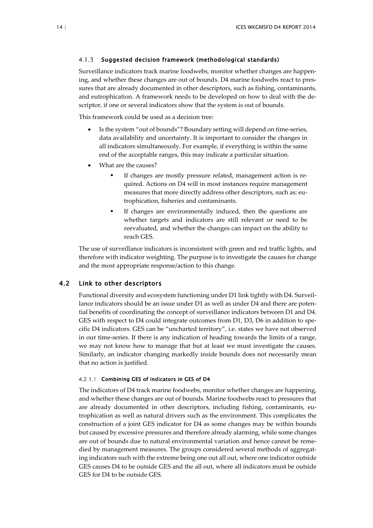#### <span id="page-17-0"></span> $4.1.3$ Suggested decision framework (methodological standards)

Surveillance indicators track marine foodwebs, monitor whether changes are happening, and whether these changes are out of bounds. D4 marine foodwebs react to pressures that are already documented in other descriptors, such as fishing, contaminants, and eutrophication. A framework needs to be developed on how to deal with the descriptor, if one or several indicators show that the system is out of bounds.

This framework could be used as a decision tree:

- Is the system "out of bounds"? Boundary setting will depend on time-series, data availability and uncertainty. It is important to consider the changes in all indicators simultaneously. For example, if everything is within the same end of the acceptable ranges, this may indicate a particular situation.
- What are the causes?
	- If changes are mostly pressure related, management action is required. Actions on D4 will in most instances require management measures that more directly address other descriptors, such as: eutrophication, fisheries and contaminants.
	- If changes are environmentally induced, then the questions are whether targets and indicators are still relevant or need to be reevaluated, and whether the changes can impact on the ability to reach GES.

The use of surveillance indicators is inconsistent with green and red traffic lights, and therefore with indicator weighting. The purpose is to investigate the causes for change and the most appropriate response/action to this change.

#### 4.2 Link to other descriptors

<span id="page-17-1"></span>Functional diversity and ecosystem functioning under D1 link tightly with D4. Surveillance indicators should be an issue under D1 as well as under D4 and there are potential benefits of coordinating the concept of surveillance indicators between D1 and D4. GES with respect to D4 could integrate outcomes from D1, D3, D6 in addition to specific D4 indicators. GES can be "uncharted territory", i.e. states we have not observed in our time-series. If there is any indication of heading towards the limits of a range, we may not know how to manage that but at least we must investigate the causes. Similarly, an indicator changing markedly inside bounds does not necessarily mean that no action is justified.

#### 4.2.1.1 Combining GES of indicators in GES of D4

The indicators of D4 track marine foodwebs, monitor whether changes are happening, and whether these changes are out of bounds. Marine foodwebs react to pressures that are already documented in other descriptors, including fishing, contaminants, eutrophication as well as natural drivers such as the environment. This complicates the construction of a joint GES indicator for D4 as some changes may be within bounds but caused by excessive pressures and therefore already alarming, while some changes are out of bounds due to natural environmental variation and hence cannot be remedied by management measures. The groups considered several methods of aggregating indicators such with the extreme being one out all out, where one indicator outside GES causes D4 to be outside GES and the all out, where all indicators must be outside GES for D4 to be outside GES.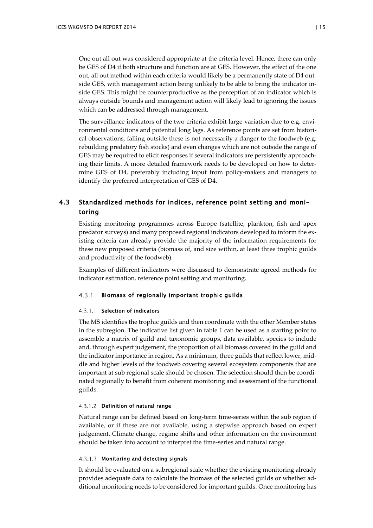One out all out was considered appropriate at the criteria level. Hence, there can only be GES of D4 if both structure and function are at GES. However, the effect of the one out, all out method within each criteria would likely be a permanently state of D4 outside GES, with management action being unlikely to be able to bring the indicator inside GES. This might be counterproductive as the perception of an indicator which is always outside bounds and management action will likely lead to ignoring the issues which can be addressed through management.

The surveillance indicators of the two criteria exhibit large variation due to e.g. environmental conditions and potential long lags. As reference points are set from historical observations, falling outside these is not necessarily a danger to the foodweb (e.g. rebuilding predatory fish stocks) and even changes which are not outside the range of GES may be required to elicit responses if several indicators are persistently approaching their limits. A more detailed framework needs to be developed on how to determine GES of D4, preferably including input from policy-makers and managers to identify the preferred interpretation of GES of D4.

## <span id="page-18-0"></span>4.3 Standardized methods for indices, reference point setting and monitoring

Existing monitoring programmes across Europe (satellite, plankton, fish and apex predator surveys) and many proposed regional indicators developed to inform the existing criteria can already provide the majority of the information requirements for these new proposed criteria (biomass of, and size within, at least three trophic guilds and productivity of the foodweb).

Examples of different indicators were discussed to demonstrate agreed methods for indicator estimation, reference point setting and monitoring.

#### <span id="page-18-1"></span> $4.3.1$ Biomass of regionally important trophic guilds

#### 4.3.1.1 Selection of indicators

The MS identifies the trophic guilds and then coordinate with the other Member states in the subregion. The indicative list given in table 1 can be used as a starting point to assemble a matrix of guild and taxonomic groups, data available, species to include and, through expert judgement, the proportion of all biomass covered in the guild and the indicator importance in region. As a minimum, three guilds that reflect lower, middle and higher levels of the foodweb covering several ecosystem components that are important at sub regional scale should be chosen. The selection should then be coordinated regionally to benefit from coherent monitoring and assessment of the functional guilds.

#### 4.3.1.2 Definition of natural range

Natural range can be defined based on long-term time-series within the sub region if available, or if these are not available, using a stepwise approach based on expert judgement. Climate change, regime shifts and other information on the environment should be taken into account to interpret the time-series and natural range.

#### 4.3.1.3 Monitoring and detecting signals

It should be evaluated on a subregional scale whether the existing monitoring already provides adequate data to calculate the biomass of the selected guilds or whether additional monitoring needs to be considered for important guilds. Once monitoring has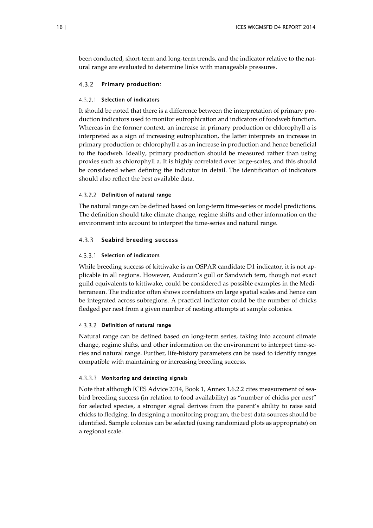been conducted, short-term and long-term trends, and the indicator relative to the natural range are evaluated to determine links with manageable pressures.

#### <span id="page-19-0"></span> $4.3.2$ Primary production:

#### 4.3.2.1 Selection of indicators

It should be noted that there is a difference between the interpretation of primary production indicators used to monitor eutrophication and indicators of foodweb function. Whereas in the former context, an increase in primary production or chlorophyll a is interpreted as a sign of increasing eutrophication, the latter interprets an increase in primary production or chlorophyll a as an increase in production and hence beneficial to the foodweb. Ideally, primary production should be measured rather than using proxies such as chlorophyll a. It is highly correlated over large-scales, and this should be considered when defining the indicator in detail. The identification of indicators should also reflect the best available data.

#### 4.3.2.2 Definition of natural range

The natural range can be defined based on long-term time-series or model predictions. The definition should take climate change, regime shifts and other information on the environment into account to interpret the time-series and natural range.

#### <span id="page-19-1"></span> $4.3.3$ Seabird breeding success

#### 4.3.3.1 Selection of indicators

While breeding success of kittiwake is an OSPAR candidate D1 indicator, it is not applicable in all regions. However, Audouin's gull or Sandwich tern, though not exact guild equivalents to kittiwake, could be considered as possible examples in the Mediterranean. The indicator often shows correlations on large spatial scales and hence can be integrated across subregions. A practical indicator could be the number of chicks fledged per nest from a given number of nesting attempts at sample colonies.

#### 4.3.3.2 Definition of natural range

Natural range can be defined based on long-term series, taking into account climate change, regime shifts, and other information on the environment to interpret time-series and natural range. Further, life-history parameters can be used to identify ranges compatible with maintaining or increasing breeding success.

#### 4.3.3.3 Monitoring and detecting signals

Note that although ICES Advice 2014, Book 1, Annex 1.6.2.2 cites measurement of seabird breeding success (in relation to food availability) as "number of chicks per nest" for selected species, a stronger signal derives from the parent's ability to raise said chicks to fledging. In designing a monitoring program, the best data sources should be identified. Sample colonies can be selected (using randomized plots as appropriate) on a regional scale.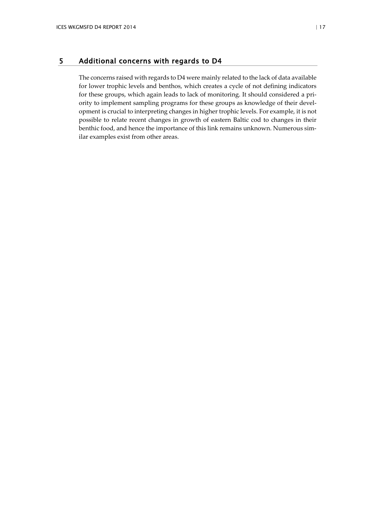#### <span id="page-20-0"></span>5 Additional concerns with regards to D4

The concerns raised with regards to D4 were mainly related to the lack of data available for lower trophic levels and benthos, which creates a cycle of not defining indicators for these groups, which again leads to lack of monitoring. It should considered a priority to implement sampling programs for these groups as knowledge of their development is crucial to interpreting changes in higher trophic levels. For example, it is not possible to relate recent changes in growth of eastern Baltic cod to changes in their benthic food, and hence the importance of this link remains unknown. Numerous similar examples exist from other areas.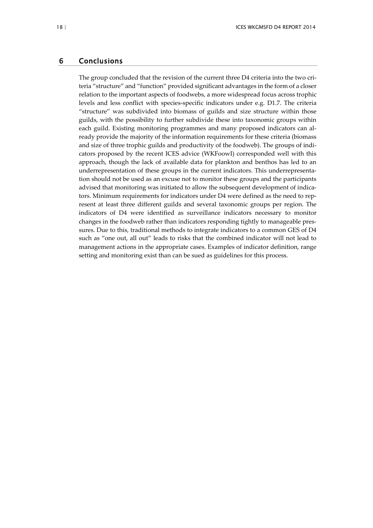#### <span id="page-21-0"></span>6 Conclusions

The group concluded that the revision of the current three D4 criteria into the two criteria "structure" and "function" provided significant advantages in the form of a closer relation to the important aspects of foodwebs, a more widespread focus across trophic levels and less conflict with species-specific indicators under e.g. D1.7. The criteria "structure" was subdivided into biomass of guilds and size structure within those guilds, with the possibility to further subdivide these into taxonomic groups within each guild. Existing monitoring programmes and many proposed indicators can already provide the majority of the information requirements for these criteria (biomass and size of three trophic guilds and productivity of the foodweb). The groups of indicators proposed by the recent ICES advice (WKFoowI) corresponded well with this approach, though the lack of available data for plankton and benthos has led to an underrepresentation of these groups in the current indicators. This underrepresentation should not be used as an excuse not to monitor these groups and the participants advised that monitoring was initiated to allow the subsequent development of indicators. Minimum requirements for indicators under D4 were defined as the need to represent at least three different guilds and several taxonomic groups per region. The indicators of D4 were identified as surveillance indicators necessary to monitor changes in the foodweb rather than indicators responding tightly to manageable pressures. Due to this, traditional methods to integrate indicators to a common GES of D4 such as "one out, all out" leads to risks that the combined indicator will not lead to management actions in the appropriate cases. Examples of indicator definition, range setting and monitoring exist than can be sued as guidelines for this process.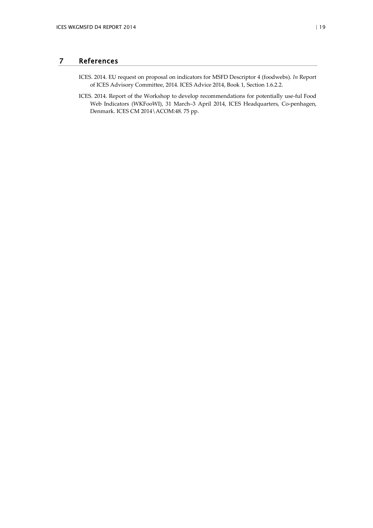## 7 References

- <span id="page-22-0"></span>ICES. 2014. EU request on proposal on indicators for MSFD Descriptor 4 (foodwebs). *In* Report of ICES Advisory Committee, 2014. ICES Advice 2014, Book 1, Section 1.6.2.2.
- ICES. 2014. Report of the Workshop to develop recommendations for potentially use-ful Food Web Indicators (WKFooWI), 31 March–3 April 2014, ICES Headquarters, Co-penhagen, Denmark. ICES CM 2014\ACOM:48. 75 pp.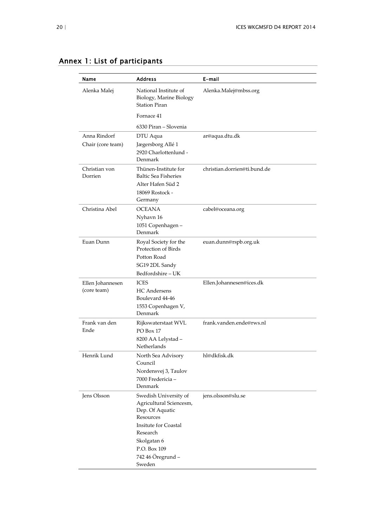| Name                     | <b>Address</b>                                                                                                  | E-mail                       |
|--------------------------|-----------------------------------------------------------------------------------------------------------------|------------------------------|
| Alenka Malej             | National Institute of<br>Biology, Marine Biology<br><b>Station Piran</b>                                        | Alenka.Malej@mbss.org        |
|                          | Fornace 41                                                                                                      |                              |
|                          | 6330 Piran – Slovenia                                                                                           |                              |
| Anna Rindorf             | DTU Aqua                                                                                                        | ar@aqua.dtu.dk               |
| Chair (core team)        | Jægersborg Allé 1<br>2920 Charlottenlund -<br>Denmark                                                           |                              |
| Christian von<br>Dorrien | Thünen-Institute for<br><b>Baltic Sea Fisheries</b>                                                             | christian.dorrien@ti.bund.de |
|                          | Alter Hafen Süd 2                                                                                               |                              |
|                          | 18069 Rostock -<br>Germany                                                                                      |                              |
| Christina Abel           | <b>OCEANA</b>                                                                                                   | cabel@oceana.org             |
|                          | Nyhavn 16                                                                                                       |                              |
|                          | 1051 Copenhagen -<br>Denmark                                                                                    |                              |
| Euan Dunn                | Royal Society for the<br>euan.dunn@rspb.org.uk<br>Protection of Birds                                           |                              |
|                          | Potton Road<br>SG19 2DL Sandy<br>Bedfordshire - UK                                                              |                              |
| Ellen Johannesen         | <b>ICES</b>                                                                                                     | Ellen.Johannesen@ices.dk     |
| (core team)              | <b>HC</b> Andersens<br>Boulevard 44-46<br>1553 Copenhagen V,<br>Denmark                                         |                              |
| Frank van den<br>Ende    | Rijkswaterstaat WVL<br>PO Box 17<br>8200 AA Lelystad -<br><b>Netherlands</b>                                    | frank.vanden.ende@rws.nl     |
| Henrik Lund              | North Sea Advisory<br>Council<br>Nordensvej 3, Taulov<br>7000 Fredericia -<br>Denmark                           | hl@dkfisk.dk                 |
| Jens Olsson              | Swedish University of<br>Agricultural Sciencesm,<br>Dep. Of Aquatic<br>Resources<br><b>Insitute for Coastal</b> | jens.olsson@slu.se           |
|                          | Research<br>Skolgatan 6                                                                                         |                              |
|                          | P.O. Box 109                                                                                                    |                              |
|                          | 742 46 Öregrund -<br>Sweden                                                                                     |                              |

## <span id="page-23-0"></span>Annex 1: List of participants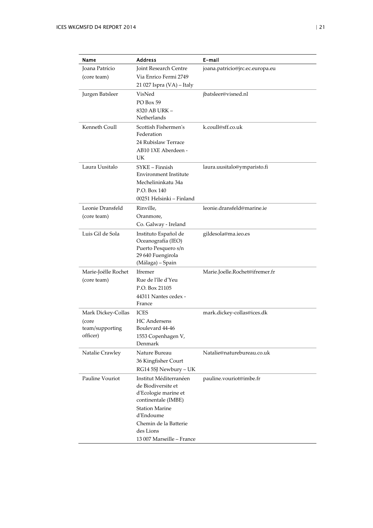| Name                | <b>Address</b>                                | E-mail                          |
|---------------------|-----------------------------------------------|---------------------------------|
| Joana Patrício      | Joint Research Centre                         | joana.patricio@jrc.ec.europa.eu |
| (core team)         | Via Enrico Fermi 2749                         |                                 |
|                     | 21 027 Ispra (VA) - Italy                     |                                 |
| Jurgen Batsleer     | VisNed                                        | jbatsleer@visned.nl             |
|                     | PO Box 59                                     |                                 |
|                     | 8320 AB URK -                                 |                                 |
|                     | Netherlands                                   |                                 |
| Kenneth Coull       | Scottish Fishermen's<br>Federation            | k.coull@sff.co.uk               |
|                     | 24 Rubislaw Terrace                           |                                 |
|                     | AB10 1XE Aberdeen -<br>UK                     |                                 |
| Laura Uusitalo      | SYKE – Finnish<br>laura.uusitalo@ymparisto.fi |                                 |
|                     | Environment Institute                         |                                 |
|                     | Mechelininkatu 34a                            |                                 |
|                     | P.O. Box 140                                  |                                 |
|                     | 00251 Helsinki - Finland                      |                                 |
| Leonie Dransfeld    | Rinville,                                     | leonie.dransfeld@marine.ie      |
| (core team)         | Oranmore,                                     |                                 |
|                     | Co. Galway - Ireland                          |                                 |
| Luis Gil de Sola    | Instituto Español de                          | gildesola@ma.ieo.es             |
|                     | Oceanografía (IEO)<br>Puerto Pesquero s/n     |                                 |
|                     | 29 640 Fuengirola                             |                                 |
|                     | (Málaga) – Spain                              |                                 |
| Marie-Joëlle Rochet | Ifremer                                       | Marie.Joelle.Rochet@ifremer.fr  |
| (core team)         | Rue de l'île d'Yeu                            |                                 |
|                     | P.O. Box 21105                                |                                 |
|                     | 44311 Nantes cedex -                          |                                 |
|                     | France                                        |                                 |
| Mark Dickey-Collas  | <b>ICES</b>                                   | mark.dickey-collas@ices.dk      |
| (core               | <b>HC</b> Andersens                           |                                 |
| team/supporting     | Boulevard 44-46                               |                                 |
| officer)            | 1553 Copenhagen V,<br>Denmark                 |                                 |
| Natalie Crawley     | Nature Bureau                                 | Natalie@naturebureau.co.uk      |
|                     | 36 Kingfisher Court                           |                                 |
|                     | RG14 5SJ Newbury - UK                         |                                 |
| Pauline Vouriot     | Institut Méditerranéen                        | pauline.vouriot@imbe.fr         |
|                     | de Biodiversite et                            |                                 |
|                     | d'Ecologie marine et                          |                                 |
|                     | continentale (IMBE)                           |                                 |
|                     | <b>Station Marine</b>                         |                                 |
|                     | d'Endoume                                     |                                 |
|                     | Chemin de la Batterie<br>des Lions            |                                 |
|                     | 13 007 Marseille - France                     |                                 |
|                     |                                               |                                 |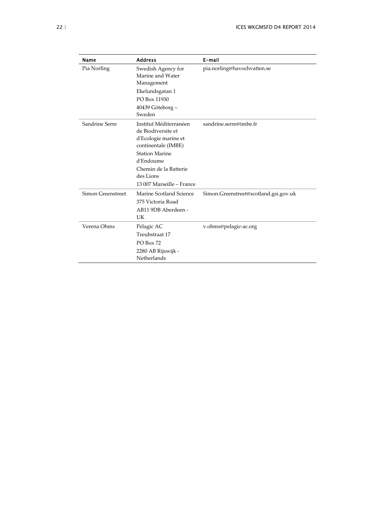| Name              | <b>Address</b>                                                                                                                                                                                       | E-mail                                |  |
|-------------------|------------------------------------------------------------------------------------------------------------------------------------------------------------------------------------------------------|---------------------------------------|--|
| Pia Norling       | Swedish Agency for<br>Marine and Water<br>Management<br>Ekelundsgatan 1<br>PO Box 11930<br>40439 Göteborg –<br>Sweden                                                                                | pia.norling@havochvatten.se           |  |
| Sandrine Serre    | Institut Méditerranéen<br>de Biodiversite et<br>d'Ecologie marine et<br>continentale (IMBE)<br><b>Station Marine</b><br>d'Endoume<br>Chemin de la Batterie<br>des Lions<br>13 007 Marseille - France | sandrine.serre@imbe.fr                |  |
| Simon Greenstreet | Marine Scotland Science<br>375 Victoria Road<br>AB11 9DB Aberdeen -<br>UK                                                                                                                            | Simon.Greenstreet@scotland.gsi.gov.uk |  |
| Verena Ohms       | Pelagic AC<br>Treubstraat 17<br>PO Box 72<br>2280 AB Rijswijk -<br>Netherlands                                                                                                                       | v.ohms@pelagic-ac.org                 |  |